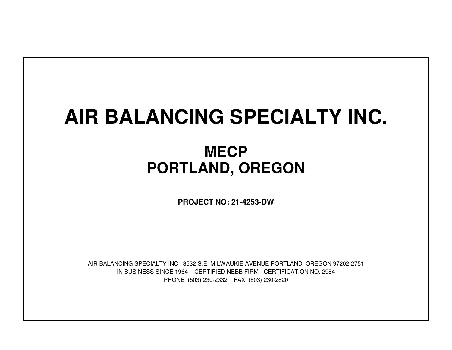# **AIR BALANCING SPECIALTY INC.**

## **MECPPORTLAND, OREGON**

**PROJECT NO: 21-4253-DW**

IN BUSINESS SINCE 1964 CERTIFIED NEBB FIRM - CERTIFICATION NO. 2984PHONE (503) 230-2332 FAX (503) 230-2820AIR BALANCING SPECIALTY INC. 3532 S.E. MILWAUKIE AVENUE PORTLAND, OREGON 97202-2751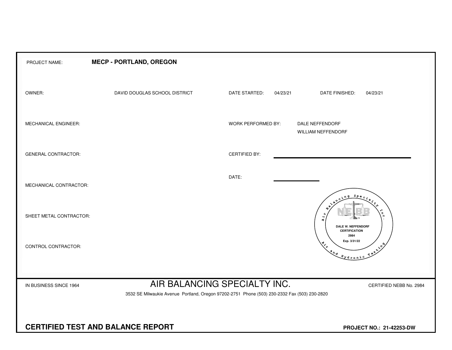| PROJECT NAME:                                                                                                                                                                     | <b>MECP - PORTLAND, OREGON</b> |                      |                                                                                                                                                                                                                                                                                                                                                                                                              |  |  |  |  |  |  |
|-----------------------------------------------------------------------------------------------------------------------------------------------------------------------------------|--------------------------------|----------------------|--------------------------------------------------------------------------------------------------------------------------------------------------------------------------------------------------------------------------------------------------------------------------------------------------------------------------------------------------------------------------------------------------------------|--|--|--|--|--|--|
| OWNER:                                                                                                                                                                            | DAVID DOUGLAS SCHOOL DISTRICT  | DATE STARTED:        | 04/23/21<br>DATE FINISHED:<br>04/23/21                                                                                                                                                                                                                                                                                                                                                                       |  |  |  |  |  |  |
| MECHANICAL ENGINEER:                                                                                                                                                              |                                | WORK PERFORMED BY:   | DALE NEFFENDORF<br>WILLIAM NEFFENDORF                                                                                                                                                                                                                                                                                                                                                                        |  |  |  |  |  |  |
| <b>GENERAL CONTRACTOR:</b>                                                                                                                                                        |                                | <b>CERTIFIED BY:</b> |                                                                                                                                                                                                                                                                                                                                                                                                              |  |  |  |  |  |  |
| MECHANICAL CONTRACTOR:                                                                                                                                                            |                                | DATE:                | $S_{PQ}$                                                                                                                                                                                                                                                                                                                                                                                                     |  |  |  |  |  |  |
| SHEET METAL CONTRACTOR:                                                                                                                                                           |                                |                      | ัด<br>ы<br>Æ.<br>DALE W. NEFFENDORF<br><b>CERTIFICATION</b>                                                                                                                                                                                                                                                                                                                                                  |  |  |  |  |  |  |
| CONTROL CONTRACTOR:                                                                                                                                                               |                                |                      | 2984<br>Exp. 3/31/22<br>$x^2$<br>$\begin{picture}(180,10) \put(0,0){\vector(1,0){10}} \put(15,0){\vector(1,0){10}} \put(15,0){\vector(1,0){10}} \put(15,0){\vector(1,0){10}} \put(15,0){\vector(1,0){10}} \put(15,0){\vector(1,0){10}} \put(15,0){\vector(1,0){10}} \put(15,0){\vector(1,0){10}} \put(15,0){\vector(1,0){10}} \put(15,0){\vector(1,0){10}} \put(15,0){\vector(1,0){10}} \put(15,0){\vector($ |  |  |  |  |  |  |
| AIR BALANCING SPECIALTY INC.<br>IN BUSINESS SINCE 1964<br>CERTIFIED NEBB No. 2984<br>3532 SE Milwaukie Avenue Portland, Oregon 97202-2751 Phone (503) 230-2332 Fax (503) 230-2820 |                                |                      |                                                                                                                                                                                                                                                                                                                                                                                                              |  |  |  |  |  |  |
| <b>CERTIFIED TEST AND BALANCE REPORT</b>                                                                                                                                          | PROJECT NO.: 21-42253-DW       |                      |                                                                                                                                                                                                                                                                                                                                                                                                              |  |  |  |  |  |  |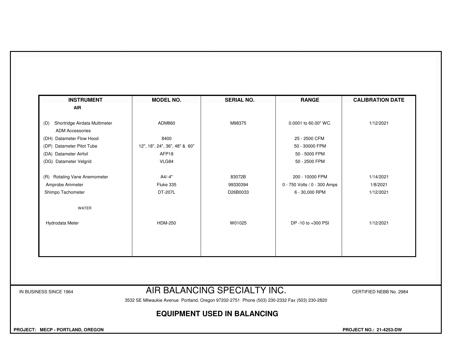| ADM860                        |          |                              |           |
|-------------------------------|----------|------------------------------|-----------|
|                               |          |                              |           |
|                               | M98375   | 0.0001 to 60.00" WC.         | 1/12/2021 |
|                               |          |                              |           |
| 8400                          |          | 25 - 2500 CFM                |           |
| 12", 18", 24", 36", 48" & 60" |          | 50 - 30000 FPM               |           |
| AFP18                         |          | 50 - 5000 FPM                |           |
| VLG84                         |          | 50 - 2500 FPM                |           |
| A4/-4"                        | 83072B   | 200 - 10000 FPM              | 1/14/2021 |
| Fluke 335                     | 99330394 | 0 - 750 Volts / 0 - 300 Amps | 1/8/2021  |
| DT-207L                       | D26B0033 | 6 - 30,000 RPM               | 1/12/2021 |
|                               |          |                              |           |
| <b>HDM-250</b>                | W01025   | DP -10 to +300 PSI           | 1/12/2021 |
|                               |          |                              |           |
|                               |          |                              |           |
|                               |          |                              |           |
|                               |          |                              |           |

### IN BUSINESS SINCE 1964 **AIR BALANCING SPECIALTY INC.** CERTIFIED NEBB No. 2984

3532 SE Milwaukie Avenue Portland, Oregon 97202-2751 Phone (503) 230-2332 Fax (503) 230-2820

#### **EQUIPMENT USED IN BALANCING**

 **PROJECT: MECP - PORTLAND, OREGON PROJECT NO.: 21-4253-DW**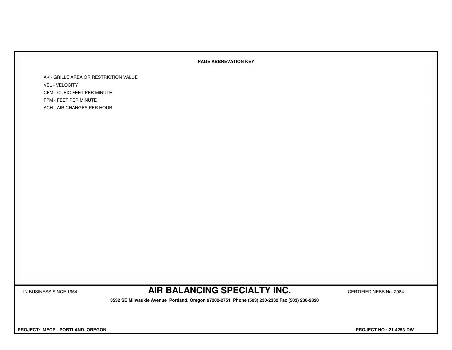#### **PAGE ABBREVATION KEY**

AK - GRILLE AREA OR RESTRICTION VALUEVEL - VELOCITY CFM - CUBIC FEET PER MINUTEFPM - FEET PER MINUTEACH - AIR CHANGES PER HOUR

IN BUSINESS SINCE 1964 **AIR BALANCING SPECIALTY INC.** CERTIFIED NEBB No. 2984

 **3532 SE Milwaukie Avenue Portland, Oregon 97202-2751 Phone (503) 230-2332 Fax (503) 230-2820**

 **PROJECT: MECP - PORTLAND, OREGON PROJECT NO.: 21-4253-DW**